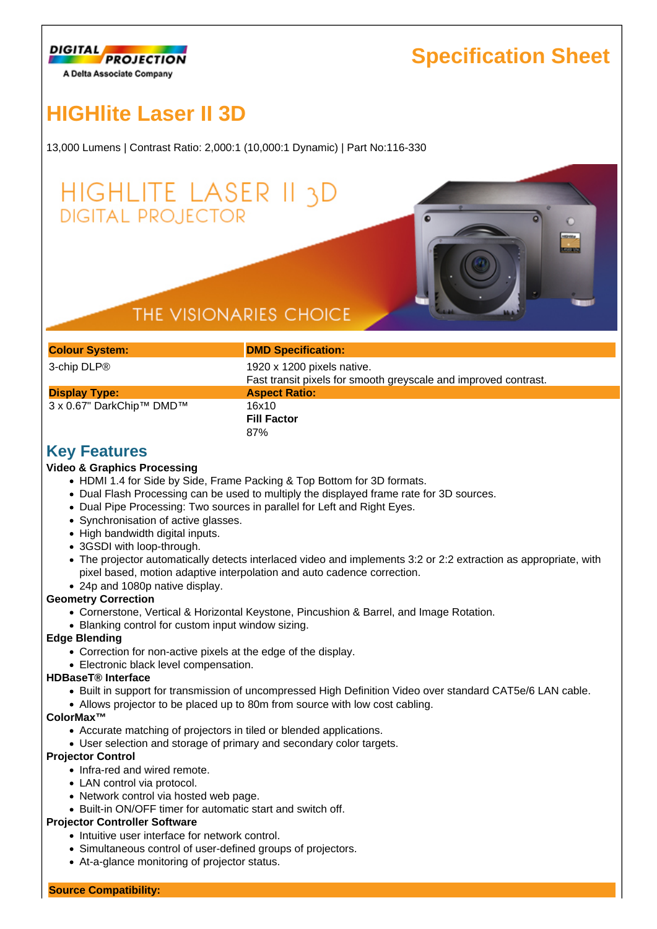

## **Specification Sheet**

# **HIGHlite Laser II 3D**

13,000 Lumens | Contrast Ratio: 2,000:1 (10,000:1 Dynamic) | Part No:116-330

## HIGHLITE LASER II 3D **DIGITAL PROJECTOR**

### THE VISIONARIES CHOICE

| <b>Colour System:</b>    | <b>DMD Specification:</b>                                                                     |  |  |
|--------------------------|-----------------------------------------------------------------------------------------------|--|--|
| 3-chip DLP®              | 1920 x 1200 pixels native.<br>Fast transit pixels for smooth greyscale and improved contrast. |  |  |
| <b>Display Type:</b>     | <b>Aspect Ratio:</b>                                                                          |  |  |
| 3 x 0.67" DarkChip™ DMD™ | 16x10<br><b>Fill Factor</b><br>87%                                                            |  |  |
| Kov Footuroo             |                                                                                               |  |  |

### **Key Features**

#### **Video & Graphics Processing**

- HDMI 1.4 for Side by Side, Frame Packing & Top Bottom for 3D formats.
- Dual Flash Processing can be used to multiply the displayed frame rate for 3D sources.
- Dual Pipe Processing: Two sources in parallel for Left and Right Eyes.
- Synchronisation of active glasses.
- High bandwidth digital inputs.
- 3GSDI with loop-through.
- The projector automatically detects interlaced video and implements 3:2 or 2:2 extraction as appropriate, with pixel based, motion adaptive interpolation and auto cadence correction.
- 24p and 1080p native display.

#### **Geometry Correction**

- Cornerstone, Vertical & Horizontal Keystone, Pincushion & Barrel, and Image Rotation.
- Blanking control for custom input window sizing.

#### **Edge Blending**

- Correction for non-active pixels at the edge of the display.
- Electronic black level compensation.

#### **HDBaseT® Interface**

- Built in support for transmission of uncompressed High Definition Video over standard CAT5e/6 LAN cable.
- Allows projector to be placed up to 80m from source with low cost cabling.

#### **ColorMax™**

- Accurate matching of projectors in tiled or blended applications.
- User selection and storage of primary and secondary color targets.

#### **Projector Control**

- Infra-red and wired remote.
- LAN control via protocol.
- Network control via hosted web page.
- Built-in ON/OFF timer for automatic start and switch off.

#### **Projector Controller Software**

- Intuitive user interface for network control.
- Simultaneous control of user-defined groups of projectors.
- At-a-glance monitoring of projector status.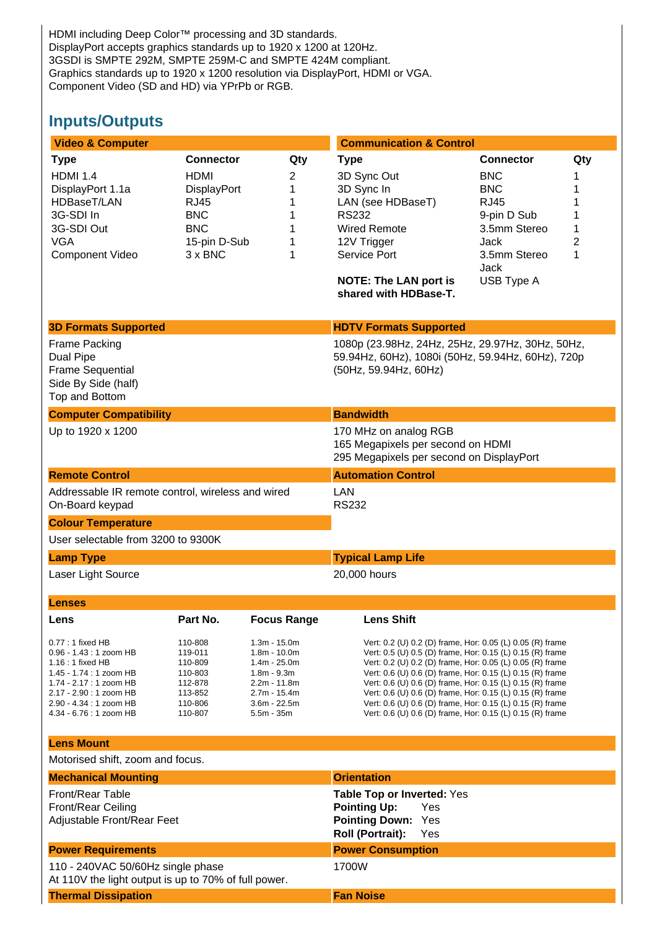HDMI including Deep Color™ processing and 3D standards. DisplayPort accepts graphics standards up to 1920 x 1200 at 120Hz. 3GSDI is SMPTE 292M, SMPTE 259M-C and SMPTE 424M compliant. Graphics standards up to 1920 x 1200 resolution via DisplayPort, HDMI or VGA. Component Video (SD and HD) via YPrPb or RGB.

### **Inputs/Outputs**

| <b>Video &amp; Computer</b>                                                                                                                                                                                |                                                                                                                                    |                                                                                                                                       | <b>Communication &amp; Control</b>                                                                                                                                                                                                                                                                                                                                                                                                                                                                   |                                                                                                                                                                                            |  |
|------------------------------------------------------------------------------------------------------------------------------------------------------------------------------------------------------------|------------------------------------------------------------------------------------------------------------------------------------|---------------------------------------------------------------------------------------------------------------------------------------|------------------------------------------------------------------------------------------------------------------------------------------------------------------------------------------------------------------------------------------------------------------------------------------------------------------------------------------------------------------------------------------------------------------------------------------------------------------------------------------------------|--------------------------------------------------------------------------------------------------------------------------------------------------------------------------------------------|--|
| <b>Type</b><br><b>HDMI 1.4</b><br>DisplayPort 1.1a<br>HDBaseT/LAN<br>3G-SDI In<br>3G-SDI Out<br><b>VGA</b><br><b>Component Video</b>                                                                       | <b>Connector</b><br><b>HDMI</b><br><b>DisplayPort</b><br><b>RJ45</b><br><b>BNC</b><br><b>BNC</b><br>15-pin D-Sub<br>$3 \times BNC$ | Qty<br>2<br>1<br>1<br>1<br>1<br>1<br>1                                                                                                | <b>Type</b><br>3D Sync Out<br>3D Sync In<br>LAN (see HDBaseT)<br><b>RS232</b><br><b>Wired Remote</b><br>12V Trigger<br>Service Port<br><b>NOTE: The LAN port is</b><br>shared with HDBase-T.                                                                                                                                                                                                                                                                                                         | <b>Connector</b><br>Qty<br><b>BNC</b><br><b>BNC</b><br>1<br><b>RJ45</b><br>1<br>9-pin D Sub<br>1<br>1<br>3.5mm Stereo<br>$\overline{c}$<br>Jack<br>3.5mm Stereo<br>1<br>Jack<br>USB Type A |  |
| <b>3D Formats Supported</b>                                                                                                                                                                                |                                                                                                                                    |                                                                                                                                       | <b>HDTV Formats Supported</b>                                                                                                                                                                                                                                                                                                                                                                                                                                                                        |                                                                                                                                                                                            |  |
| Frame Packing<br><b>Dual Pipe</b><br><b>Frame Sequential</b><br>Side By Side (half)<br>Top and Bottom                                                                                                      |                                                                                                                                    |                                                                                                                                       | 1080p (23.98Hz, 24Hz, 25Hz, 29.97Hz, 30Hz, 50Hz,<br>59.94Hz, 60Hz), 1080i (50Hz, 59.94Hz, 60Hz), 720p<br>(50Hz, 59.94Hz, 60Hz)                                                                                                                                                                                                                                                                                                                                                                       |                                                                                                                                                                                            |  |
| <b>Computer Compatibility</b>                                                                                                                                                                              |                                                                                                                                    |                                                                                                                                       | <b>Bandwidth</b>                                                                                                                                                                                                                                                                                                                                                                                                                                                                                     |                                                                                                                                                                                            |  |
| Up to 1920 x 1200                                                                                                                                                                                          |                                                                                                                                    |                                                                                                                                       | 170 MHz on analog RGB<br>165 Megapixels per second on HDMI<br>295 Megapixels per second on DisplayPort                                                                                                                                                                                                                                                                                                                                                                                               |                                                                                                                                                                                            |  |
| <b>Remote Control</b>                                                                                                                                                                                      |                                                                                                                                    |                                                                                                                                       | <b>Automation Control</b>                                                                                                                                                                                                                                                                                                                                                                                                                                                                            |                                                                                                                                                                                            |  |
| Addressable IR remote control, wireless and wired<br>On-Board keypad                                                                                                                                       |                                                                                                                                    |                                                                                                                                       | LAN<br><b>RS232</b>                                                                                                                                                                                                                                                                                                                                                                                                                                                                                  |                                                                                                                                                                                            |  |
| <b>Colour Temperature</b>                                                                                                                                                                                  |                                                                                                                                    |                                                                                                                                       |                                                                                                                                                                                                                                                                                                                                                                                                                                                                                                      |                                                                                                                                                                                            |  |
| User selectable from 3200 to 9300K                                                                                                                                                                         |                                                                                                                                    |                                                                                                                                       |                                                                                                                                                                                                                                                                                                                                                                                                                                                                                                      |                                                                                                                                                                                            |  |
| <b>Lamp Type</b>                                                                                                                                                                                           |                                                                                                                                    |                                                                                                                                       | <b>Typical Lamp Life</b>                                                                                                                                                                                                                                                                                                                                                                                                                                                                             |                                                                                                                                                                                            |  |
| Laser Light Source                                                                                                                                                                                         |                                                                                                                                    |                                                                                                                                       | 20,000 hours                                                                                                                                                                                                                                                                                                                                                                                                                                                                                         |                                                                                                                                                                                            |  |
| <b>Lenses</b>                                                                                                                                                                                              |                                                                                                                                    |                                                                                                                                       |                                                                                                                                                                                                                                                                                                                                                                                                                                                                                                      |                                                                                                                                                                                            |  |
| Lens                                                                                                                                                                                                       | Part No.                                                                                                                           | <b>Focus Range</b>                                                                                                                    | <b>Lens Shift</b>                                                                                                                                                                                                                                                                                                                                                                                                                                                                                    |                                                                                                                                                                                            |  |
| $0.77:1$ fixed HB<br>$0.96 - 1.43 : 1$ zoom HB<br>$1.16:1$ fixed HB<br>1.45 - 1.74 : 1 zoom HB<br>1.74 - 2.17 : 1 zoom HB<br>2.17 - 2.90 : 1 zoom HB<br>2.90 - 4.34 : 1 zoom HB<br>4.34 - 6.76 : 1 zoom HB | 110-808<br>119-011<br>110-809<br>110-803<br>112-878<br>113-852<br>110-806<br>110-807                                               | $1.3m - 15.0m$<br>$1.8m - 10.0m$<br>$1.4m - 25.0m$<br>$1.8m - 9.3m$<br>2.2m - 11.8m<br>2.7m - 15.4m<br>$3.6m - 22.5m$<br>$5.5m - 35m$ | Vert: 0.2 (U) 0.2 (D) frame, Hor: 0.05 (L) 0.05 (R) frame<br>Vert: 0.5 (U) 0.5 (D) frame, Hor: 0.15 (L) 0.15 (R) frame<br>Vert: 0.2 (U) 0.2 (D) frame, Hor: 0.05 (L) 0.05 (R) frame<br>Vert: 0.6 (U) 0.6 (D) frame, Hor: 0.15 (L) 0.15 (R) frame<br>Vert: 0.6 (U) 0.6 (D) frame, Hor: 0.15 (L) 0.15 (R) frame<br>Vert: 0.6 (U) 0.6 (D) frame, Hor: 0.15 (L) 0.15 (R) frame<br>Vert: 0.6 (U) 0.6 (D) frame, Hor: 0.15 (L) 0.15 (R) frame<br>Vert: 0.6 (U) 0.6 (D) frame, Hor: 0.15 (L) 0.15 (R) frame |                                                                                                                                                                                            |  |
| <b>Lens Mount</b>                                                                                                                                                                                          |                                                                                                                                    |                                                                                                                                       |                                                                                                                                                                                                                                                                                                                                                                                                                                                                                                      |                                                                                                                                                                                            |  |
| Motorised shift, zoom and focus.                                                                                                                                                                           |                                                                                                                                    |                                                                                                                                       |                                                                                                                                                                                                                                                                                                                                                                                                                                                                                                      |                                                                                                                                                                                            |  |
| <b>Mechanical Mounting</b>                                                                                                                                                                                 |                                                                                                                                    |                                                                                                                                       | <b>Orientation</b>                                                                                                                                                                                                                                                                                                                                                                                                                                                                                   |                                                                                                                                                                                            |  |
| <b>Front/Rear Table</b><br>Front/Rear Ceiling<br>Adjustable Front/Rear Feet                                                                                                                                |                                                                                                                                    |                                                                                                                                       | Table Top or Inverted: Yes<br><b>Pointing Up:</b><br>Yes<br><b>Pointing Down:</b><br>Yes<br>Roll (Portrait):<br>Yes                                                                                                                                                                                                                                                                                                                                                                                  |                                                                                                                                                                                            |  |
| <b>Power Requirements</b>                                                                                                                                                                                  |                                                                                                                                    |                                                                                                                                       | <b>Power Consumption</b>                                                                                                                                                                                                                                                                                                                                                                                                                                                                             |                                                                                                                                                                                            |  |
| 110 - 240VAC 50/60Hz single phase<br>At 110V the light output is up to 70% of full power.                                                                                                                  |                                                                                                                                    |                                                                                                                                       | 1700W                                                                                                                                                                                                                                                                                                                                                                                                                                                                                                |                                                                                                                                                                                            |  |
| <b>Thermal Dissipation</b>                                                                                                                                                                                 |                                                                                                                                    |                                                                                                                                       | <b>Fan Noise</b>                                                                                                                                                                                                                                                                                                                                                                                                                                                                                     |                                                                                                                                                                                            |  |